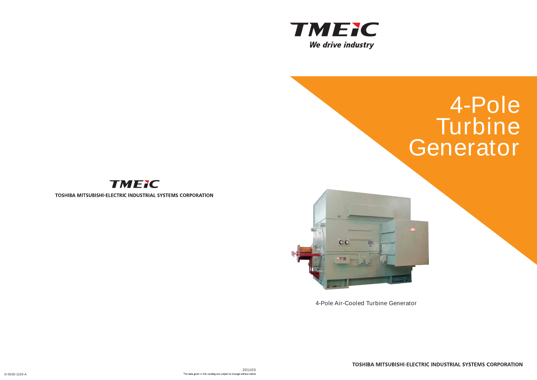





TOSHIBA MITSUBISHI-ELECTRIC INDUSTRIAL SYSTEMS CORPORATION



# **4-Pole Turbine Generator**



TOSHIBA MITSUBISHI-ELECTRIC INDUSTRIAL SYSTEMS CORPORATION

**4-Pole Air-Cooled Turbine Generator**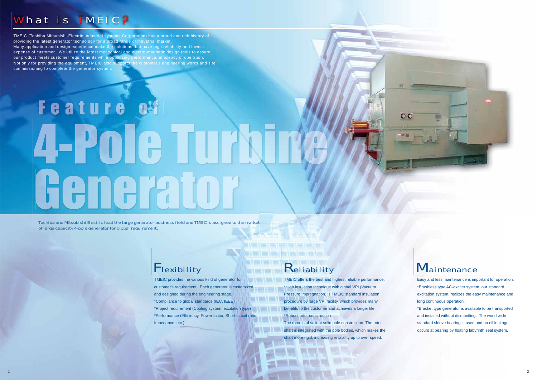Easy and less maintenance is important for operation. \*Brushless type AC-exciter system, our standard excitation system, realizes the easy maintenance and long continuous operation.

\*Bracket type generator is available to be transported and installed without dismantling. The world wide standard sleeve bearing is used and no oil leakage occurs at bearing by floating labyrinth seal system.

**TMEIC offers the best and highest reliable performance.** \*High insulation technique with global VPI (Vacuum Pressure Impregnation) is TMEIC standard insulation procedure by large VPI facility, which provides many benefits to the customer and achieves a longer life. \*Robust rotor construction.



 $\circ$ 

Toshiba and Mitsubishi Electric lead the large generator business field and TMEIC is assigned to the market of large capacity 4-pole generator for global requirement.

### **Flexibility**

The rotor is of salient solid pole construction. The rotor shaft is integrated with the pole bodies, which makes the shaft more rigid, increasing reliability up to over speed.

TMEIC provides the various kind of generator for customer's requirement. Each generator is customized and designed during the engineering stage. \*Compliance to global standards (IEC, IEEE) \*Project requirement (Cooling system, excitation type) \*Performance (Efficiency, Power factor, Short-circuit ratio, Impedance, etc.)

### **Keliability**

**STATISTICS** 

**Service Control & Service Control & Walk & Service** 

a i Coline i

TMEIC (Toshiba Mitsubishi-Electric Industrial systems Corporation) has a proud and rich history of providing the latest generator technology for a broad range of industrial market. Many application and design experience make the solutions that have high reliability and lowest expense of customer. We utilize the latest mechanical and electro-magnetic design tools to assure our product meets customer requirements while optimizing performance, efficiency of operation. Not only for providing the equipment, TMEIC also supports the customer's engineering works and site commissioning to complete the generator system.

# Feature of 4-2010 **INAZI**

### What is TMEIC ?

1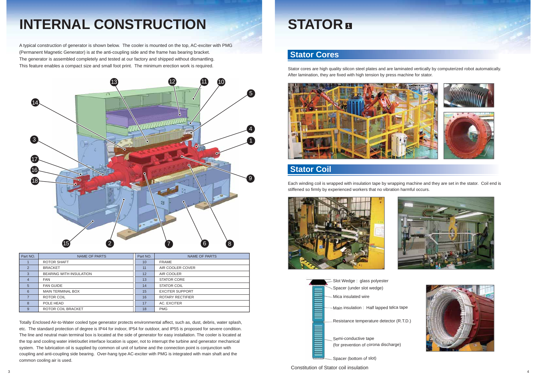A typical construction of generator is shown below. The cooler is mounted on the top, AC-exciter with PMG (Permanent Magnetic Generator) is at the anti-coupling side and the frame has bearing bracket. The generator is assembled completely and tested at our factory and shipped without dismantling. This feature enables a compact size and small foot print. The minimum erection work is required.

Totally Enclosed Air-to-Water cooled type generator protects environmental affect, such as, dust, debris, water splash, etc. The standard protection of degree is IP44 for indoor, IP54 for outdoor, and IP55 is proposed for severe condition. The line and neutral main terminal box is located at the side of generator for easy installation. The cooler is located at the top and cooling water inlet/outlet interface location is upper, not to interrupt the turbine and generator mechanical system. The lubrication oil is supplied by common oil unit of turbine and the connection point is conjunction with coupling and anti-coupling side bearing. Over-hang type AC-exciter with PMG is integrated with main shaft and the common cooling air is used.

| Part NO.       | NAME OF PARTS                  | Part NO. | NAME OF PARTS           |
|----------------|--------------------------------|----------|-------------------------|
|                | ROTOR SHAFT                    | 10       | <b>FRAME</b>            |
| 2              | <b>BRACKET</b>                 | 11       | AIR COOLER COVER        |
| 3              | <b>BEARING WITH INSULATION</b> | 12       | AIR COOLER              |
| $\overline{4}$ | <b>FAN</b>                     | 13       | <b>STATOR CORE</b>      |
| 5              | <b>FAN GUIDE</b>               | 14       | <b>STATOR COIL</b>      |
| 6              | <b>MAIN TERMINAL BOX</b>       | 15       | <b>EXCITER SUPPORT</b>  |
|                | ROTOR COIL                     | 16       | <b>ROTARY RECTIFIER</b> |
| 8              | POLE HEAD                      | 17       | AC. EXCITER             |
| 9              | ROTOR COIL BRACKET             | 18       | <b>PMG</b>              |



# **INTERNAL CONSTRUCTION**

# **STATOR <sup>1</sup>**

Stator cores are high quality silicon steel plates and are laminated vertically by computerized robot automatically. After lamination, they are fixed with high tension by press machine for stator.



#### **Stator Cores**

Each winding coil is wrapped with insulation tape by wrapping machine and they are set in the stator. Coil end is stiffened so firmly by experienced workers that no vibration harmful occurs.





### **Stator Coil**







Constitution of Stator coil insulation

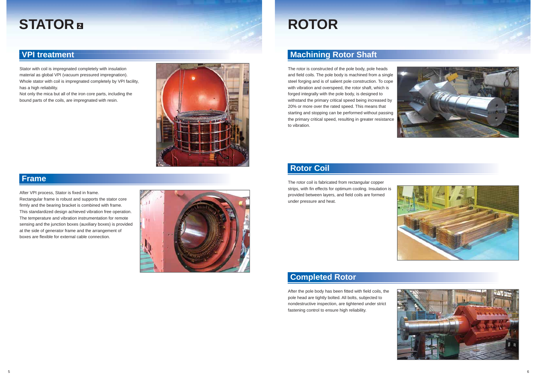The rotor is constructed of the pole body, pole heads and field coils. The pole body is machined from a single steel forging and is of salient pole construction. To cope with vibration and overspeed, the rotor shaft, which is forged integrally with the pole body, is designed to withstand the primary critical speed being increased by 20% or more over the rated speed. This means that starting and stopping can be performed without passing the primary critical speed, resulting in greater resistance to vibration.

### **Machining Rotor Shaft**

Stator with coil is impregnated completely with insulation material as global VPI (vacuum pressured impregnation). Whole stator with coil is impregnated completely by VPI facility, has a high reliability.

Not only the mica but all of the iron core parts, including the bound parts of the coils, are impregnated with resin.



### **VPI treatment**







After VPI process, Stator is fixed in frame. Rectangular frame is robust and supports the stator core firmly and the bearing bracket is combined with frame. This standardized design achieved vibration free operation. The temperature and vibration instrumentation for remote sensing and the junction boxes (auxiliary boxes) is provided at the side of generator frame and the arrangement of boxes are flexible for external cable connection.



#### **Frame**

 The rotor coil is fabricated from rectangular copper strips, with fin effects for optimum cooling. Insulation is provided between layers, and field coils are formed under pressure and heat.



### **Rotor Coil**

After the pole body has been fitted with field coils, the pole head are tightly bolted. All bolts, subjected to nondestructive inspection, are tightened under strict fastening control to ensure high reliability.



### **Completed Rotor**

## **STATOR**

# **<sup>2</sup> ROTOR**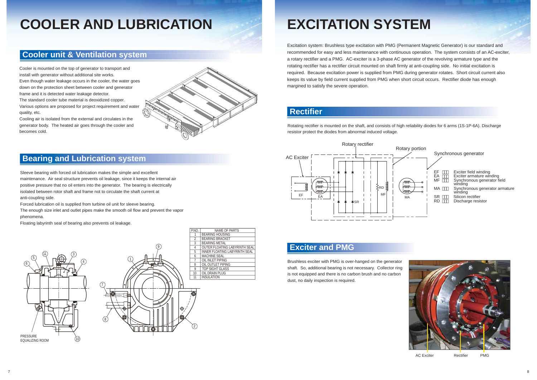



AC Exciter **Rectifier** PMG

### **Cooler unit & Ventilation system**

Sleeve bearing with forced oil lubrication makes the simple and excellent maintenance. Air seal structure prevents oil leakage, since it keeps the internal air positive pressure that no oil enters into the generator. The bearing is electrically isolated between rotor shaft and frame not to circulate the shaft current at anti-coupling side.

Forced lubrication oil is supplied from turbine oil unit for sleeve bearing.

The enough size inlet and outlet pipes make the smooth oil flow and prevent the vapor phenomena.

Floating labyrinth seal of bearing also prevents oil leakage.

### **Bearing and Lubrication system**

# **COOLER AND LUBRICATION**

Cooler is mounted on the top of generator to transport and install with generator without additional site works. Even though water leakage occurs in the cooler, the water goes down on the protection sheet between cooler and generator frame and it is detected water leakage detector. The standard cooler tube material is deoxidized copper.

Various options are proposed for project requirement and water quality, etc.

Cooling air is isolated from the external and circulates in the generator body. The heated air goes through the cooler and becomes cold.







Rotating rectifier is mounted on the shaft, and consists of high reliability diodes for 6 arms (1S-1P-6A). Discharge resistor protect the diodes from abnormal induced voltage.

#### **Rectifier**

Brushless exciter with PMG is over-hanged on the generator shaft. So, additional bearing is not necessary. Collector ring is not equipped and there is no carbon brush and no carbon dust, no daily inspection is required.

#### **Exciter and PMG**

# **EXCITATION SYSTEM**

Excitation system: Brushless type excitation with PMG (Permanent Magnetic Generator) is our standard and recommended for easy and less maintenance with continuous operation. The system consists of an AC-exciter, a rotary rectifier and a PMG. AC-exciter is a 3-phase AC generator of the revolving armature type and the rotating rectifier has a rectifier circuit mounted on shaft firmly at anti-coupling side. No initial excitation is required. Because excitation power is supplied from PMG during generator rotates. Short circuit current also keeps its value by field current supplied from PMG when short circuit occurs. Rectifier diode has enough margined to satisfy the severe operation.

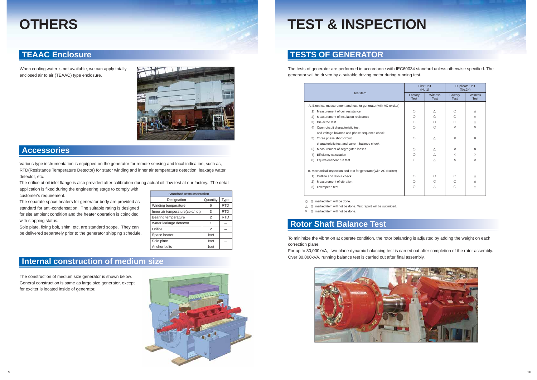When cooling water is not available, we can apply totally enclosed air to air (TEAAC) type enclosure.



#### **TEAAC Enclosure**

#### **Accessories**

The construction of medium size generator is shown below. General construction is same as large size generator, except for exciter is located inside of generator.

#### **Internal construction of medium size**

### **OTHERS**

| <b>Standard Instrumentation</b> |                  |            |  |  |  |  |
|---------------------------------|------------------|------------|--|--|--|--|
| Designation                     | Quantity         | Type       |  |  |  |  |
| Winding temperature             | 6                | <b>RTD</b> |  |  |  |  |
| Inner air temperature(cold/hot) | 3                | <b>RTD</b> |  |  |  |  |
| Bearing temperature             | 2                | <b>RTD</b> |  |  |  |  |
| Water leakage detector          | 1                |            |  |  |  |  |
| Orifice                         | 2                |            |  |  |  |  |
| Space heater                    | 1set             |            |  |  |  |  |
| Sole plate                      | 1set             |            |  |  |  |  |
| Anchor bolts                    | 1 <sub>set</sub> |            |  |  |  |  |



Various type instrumentation is equipped on the generator for remote sensing and local indication, such as, RTD(Resistance Temperature Detector) for stator winding and inner air temperature detection, leakage water detector, etc.

The orifice at oil inlet flange is also provided after calibration during actual oil flow test at our factory. The detail application is fixed during the engineering stage to comply with

customer's requirement. The separate space heaters for generator body are provided as standard for anti-condensation. The suitable rating is designed for site ambient condition and the heater operation is coincided with stopping status.

Sole plate, fixing bolt, shim, etc. are standard scope. They can be delivered separately prior to the generator shipping schedule.

|          |                                                                    | <b>First Unit</b><br>(No.1) |                               | <b>Duplicate Unit</b><br>$(No.2-)$ |                               |
|----------|--------------------------------------------------------------------|-----------------------------|-------------------------------|------------------------------------|-------------------------------|
|          | Test item                                                          | Factory<br><b>Test</b>      | <b>Witness</b><br><b>Test</b> | Factory<br><b>Test</b>             | <b>Witness</b><br><b>Test</b> |
|          | A. Electrical measurement and test for generator (with AC exciter) |                             |                               |                                    |                               |
| 1)       | Measurement of coil resistance                                     |                             |                               |                                    |                               |
| (2)      | Measurement of insulation resistance                               |                             |                               |                                    |                               |
| 3)       | Dielectric test                                                    |                             |                               |                                    |                               |
|          | 4) Open-circuit characteristic test                                |                             |                               | $\times$                           | $\times$                      |
|          | and voltage balance and phase sequence check                       |                             |                               |                                    |                               |
|          | 5) Three phase short circuit                                       |                             |                               | $\times$                           | ×                             |
|          | characteristic test and current balance check                      |                             |                               |                                    |                               |
| 6)       | Measurement of segregated losses                                   |                             |                               | $\times$                           | $\times$                      |
| 7)       | Efficiency calculation                                             |                             |                               | $\times$                           | $\times$                      |
| 8)       | Equivalent heat run test                                           |                             |                               | $\times$                           | $\times$                      |
|          | B. Mechanical inspection and test for generator(with AC Exciter)   |                             |                               |                                    |                               |
| 1)       | Outline and layout check                                           |                             |                               |                                    |                               |
| (2)      | Measurement of vibration                                           |                             |                               |                                    |                               |
|          | 3) Overspeed test                                                  |                             |                               |                                    |                               |
|          | marked item will be done.                                          |                             |                               |                                    |                               |
|          | marked item will not be done. Test report will be submitted.       |                             |                               |                                    |                               |
| $\times$ | marked item will not be done.                                      |                             |                               |                                    |                               |

The tests of generator are performed in accordance with IEC60034 standard unless otherwise specified. The generator will be driven by a suitable driving motor during running test.

### **TESTS OF GENERATOR**

To minimize the vibration at operate condition, the rotor balancing is adjusted by adding the weight on each correction plane.

For up to 30,000kVA, two plane dynamic balancing test is carried out after completion of the rotor assembly. Over 30,000kVA, running balance test is carried out after final assembly.



# **TEST & INSPECTION**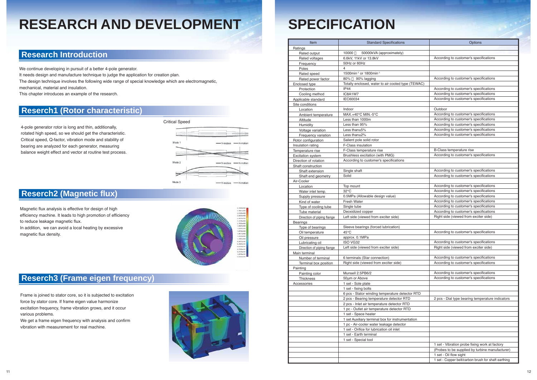#### **Research Introduction**

### **Reserch1 (Rotor characteristic)**

### **Reserch2 (Magnetic flux)**

### **Reserch3 (Frame eigen frequency)**

## **RESEARCH AND DEVELOPMENT**

We continue developing in pursuit of a better 4-pole generator.

It needs design and manufacture technique to judge the application for creation plan.

The design technique involves the following wide range of special knowledge which are electromagnetic,

mechanical, material and insulation.

This chapter introduces an example of the research.

4-pole generator rotor is long and thin, additionally, rotated high speed, so we should get the characteristic. Critical speed, Q-factor, vibration mode and stability of bearing are analyzed for each generator, measuring balance weight effect and vector at routine test process.

Magnetic flux analysis is effective for design of high efficiency machine. It leads to high promotion of efficiency to reduce leakage magnetic flux. In addition, we can avoid a local heating by excessive magnetic flux density.



Frame is joined to stator core, so it is subjected to excitation force by stator core. If frame eigen value harmonize excitation frequency, frame vibration grows, and it occur various problems.

We get a frame eigen frequency with analysis and confirm vibration with measurement for real machine.





| Item                                        | <b>Standard Specifications</b>                                                        | Options                                             |
|---------------------------------------------|---------------------------------------------------------------------------------------|-----------------------------------------------------|
| Ratings                                     |                                                                                       |                                                     |
| Rated output                                | 10000<br>50000kVA (approximately)                                                     |                                                     |
| Rated voltages                              | 6.6kV, 11kV or 13.8kV                                                                 | According to customer's specifications              |
| Frequency                                   | 50Hz or 60Hz                                                                          |                                                     |
| Poles                                       | $\overline{4}$                                                                        |                                                     |
| Rated speed                                 | 1500min <sup>-1</sup> or 1800min <sup>-1</sup>                                        |                                                     |
| Rated power factor                          | 90% lagging<br>80%                                                                    | According to customer's specifications              |
| Enclosed type                               | Totally enclosed, water to air cooled type (TEWAC)                                    |                                                     |
| Protection                                  | IP44                                                                                  | According to customer's specifications              |
| Cooling method                              | IC8A1W7                                                                               | According to customer's specifications              |
| Applicable standard                         | IEC60034                                                                              | According to customer's specifications              |
| Site conditions                             |                                                                                       |                                                     |
| Location                                    | Indoor                                                                                | Outdoor                                             |
| Ambient temperature                         | MAX.+40°C MIN.-5°C                                                                    | According to customer's specifications              |
| Altitude                                    | Less than 1000m                                                                       | According to customer's specifications              |
| Humidity                                    | Less than 95%                                                                         | According to customer's specifications              |
| Voltage variation                           | Less than $±5\%$                                                                      | According to customer's specifications              |
| Frequency variation                         | Less than $\pm 2\%$                                                                   | According to customer's specifications              |
| Rotor configuration                         | Salient pole solid rotor                                                              |                                                     |
| Insulation rating                           | F-Class insulation                                                                    | B-Class temperature rise                            |
| Temperature rise                            | F-Class temperature rise<br>Brushless excitation (with PMG)                           | According to customer's specifications              |
| <b>Excitation system</b>                    | According to customer's specifications                                                |                                                     |
| Direction of rotation<br>Shaft construction |                                                                                       |                                                     |
| Shaft extension                             | Single shaft                                                                          | According to customer's specifications              |
| Shaft end geometry                          | Solid                                                                                 | According to customer's specifications              |
| Air-Cooler                                  |                                                                                       |                                                     |
| Location                                    | Top mount                                                                             | According to customer's specifications              |
| Water inlet temp.                           | $32^{\circ}$ C                                                                        | According to customer's specifications              |
| Supply pressure                             | 0.5MPa (Allowable design value)                                                       | According to customer's specifications              |
| Kind of water                               | <b>Fresh Water</b>                                                                    | According to customer's specifications              |
| Type of cooling tube                        | Single tube                                                                           | According to customer's specifications              |
| Tube material                               | Deoxidized copper                                                                     | According to customer's specifications              |
| Direction of piping flange                  | Left side (viewed from exciter side)                                                  | Right side (viewed from exciter side)               |
| <b>Bearings</b>                             |                                                                                       |                                                     |
| Type of bearings                            | Sleeve bearings (forced lubrication)                                                  |                                                     |
| Oil temperature                             | $45^{\circ}$ C                                                                        | According to customer's specifications              |
| Oil pressure                                | approx. 0.1MPa                                                                        |                                                     |
| Lubricating oil                             | ISO VG32                                                                              | According to customer's specifications              |
| Direction of piping flange                  | Left side (viewed from exciter side)                                                  | Right side (viewed from exciter side)               |
| Main terminal                               |                                                                                       |                                                     |
| Number of terminal                          | 6 terminals (Star connection)                                                         | According to customer's specifications              |
| Terminal box position                       | Right side (viewed from exciter side)                                                 | According to customer's specifications              |
| Painting                                    |                                                                                       |                                                     |
| Painting color                              | Munsell 2.5PB6/2                                                                      | According to customer's specifications              |
| Thickness                                   | 50um or Above                                                                         | According to customer's specifications              |
| Accessories                                 | 1 set - Sole plate                                                                    |                                                     |
|                                             | 1 set - fixing bolts                                                                  |                                                     |
|                                             | 6 pcs - Stator winding temperature detector RTD                                       |                                                     |
|                                             | 2 pcs - Bearing temperature detector RTD                                              | 2 pcs - Dial type bearing temperature indicators    |
|                                             | 2 pcs - Inlet air temperature detector RTD                                            |                                                     |
|                                             | 1 pc - Outlet air temperature detector RTD                                            |                                                     |
|                                             | 1 set - Space heater                                                                  |                                                     |
|                                             | 1 set Auxiliary terminal box for instrumentation                                      |                                                     |
|                                             | 1 pc - Air-cooler water leakage detector<br>1 set - Orifice for lubrication oil inlet |                                                     |
|                                             |                                                                                       |                                                     |
|                                             | 1 set - Earth terminal<br>1 set - Special tool                                        |                                                     |
|                                             |                                                                                       | 1 set - Vibration probe fixing work at factory      |
|                                             |                                                                                       | (Probes to be supplied by turbine manufacturer)     |
|                                             |                                                                                       | 1 set - Oil flow sight                              |
|                                             |                                                                                       | 1 set - Copper belt/carbon brush for shaft earthing |
|                                             |                                                                                       |                                                     |

# **SPECIFICATION**